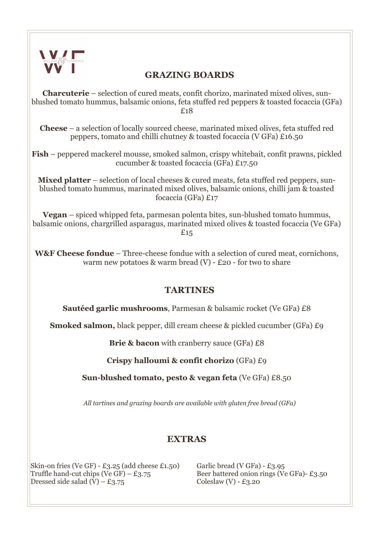

### **GRAZING BOARDS**

**Charcuterie** – selection of cured meats, confit chorizo, marinated mixed olives, sunblushed tomato hummus, balsamic onions, feta stuffed red peppers & toasted focaccia (GFa) £18

**Cheese** – a selection of locally sourced cheese, marinated mixed olives, feta stuffed red peppers, tomato and chilli chutney & toasted focaccia (V GFa) £16.50

**Fish** – peppered mackerel mousse, smoked salmon, crispy whitebait, confit prawns, pickled cucumber & toasted focaccia (GFa) £17.50

**Mixed platter** – selection of local cheeses & cured meats, feta stuffed red peppers, sunblushed tomato hummus, marinated mixed olives, balsamic onions, chilli jam & toasted focaccia (GFa) £17

**Vegan** – spiced whipped feta, parmesan polenta bites, sun-blushed tomato hummus, balsamic onions, chargrilled asparagus, marinated mixed olives & toasted focaccia (Ve GFa) £15

**W&F Cheese fondue** – Three-cheese fondue with a selection of cured meat, cornichons, warm new potatoes  $\&$  warm bread (V) - £20 - for two to share

### **TARTINES**

**Sautéed garlic mushrooms**, Parmesan & balsamic rocket (Ve GFa) £8

**Smoked salmon,** black pepper, dill cream cheese & pickled cucumber (GFa) £9

**Brie & bacon** with cranberry sauce (GFa) £8

**Crispy halloumi & confit chorizo** (GFa) £9

**Sun-blushed tomato, pesto & vegan feta** (Ve GFa) £8.50

*All tartines and grazing boards are available with gluten free bread (GFa)*

## **EXTRAS**

Skin-on fries (Ve GF) - £3.25 (add cheese £1.50) Garlic bread (V GFa) - £3.95 Truffle hand-cut chips (Ve GF) –  $\pounds$ 3.75 Beer battered onion rings (Ve GFa)-  $\pounds$ 3.50 Dressed side salad  $(V) - £3.75$  Coleslaw  $(V) - £3.20$